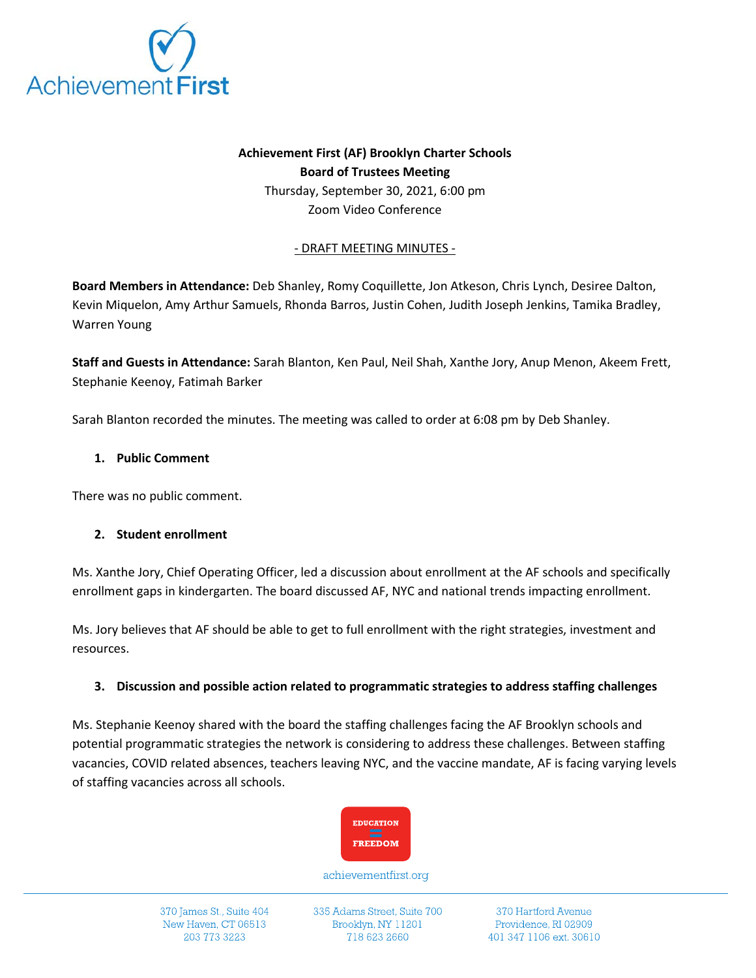

# **Achievement First (AF) Brooklyn Charter Schools Board of Trustees Meeting**

Thursday, September 30, 2021, 6:00 pm Zoom Video Conference

### - DRAFT MEETING MINUTES -

**Board Members in Attendance:** Deb Shanley, Romy Coquillette, Jon Atkeson, Chris Lynch, Desiree Dalton, Kevin Miquelon, Amy Arthur Samuels, Rhonda Barros, Justin Cohen, Judith Joseph Jenkins, Tamika Bradley, Warren Young

**Staff and Guests in Attendance:** Sarah Blanton, Ken Paul, Neil Shah, Xanthe Jory, Anup Menon, Akeem Frett, Stephanie Keenoy, Fatimah Barker

Sarah Blanton recorded the minutes. The meeting was called to order at 6:08 pm by Deb Shanley.

### **1. Public Comment**

There was no public comment.

#### **2. Student enrollment**

Ms. Xanthe Jory, Chief Operating Officer, led a discussion about enrollment at the AF schools and specifically enrollment gaps in kindergarten. The board discussed AF, NYC and national trends impacting enrollment.

Ms. Jory believes that AF should be able to get to full enrollment with the right strategies, investment and resources.

# **3. Discussion and possible action related to programmatic strategies to address staffing challenges**

Ms. Stephanie Keenoy shared with the board the staffing challenges facing the AF Brooklyn schools and potential programmatic strategies the network is considering to address these challenges. Between staffing vacancies, COVID related absences, teachers leaving NYC, and the vaccine mandate, AF is facing varying levels of staffing vacancies across all schools.



achievementfirst.org

370 James St., Suite 404 New Haven, CT 06513 203 773 3223

335 Adams Street, Suite 700 Brooklyn, NY 11201 718 623 2660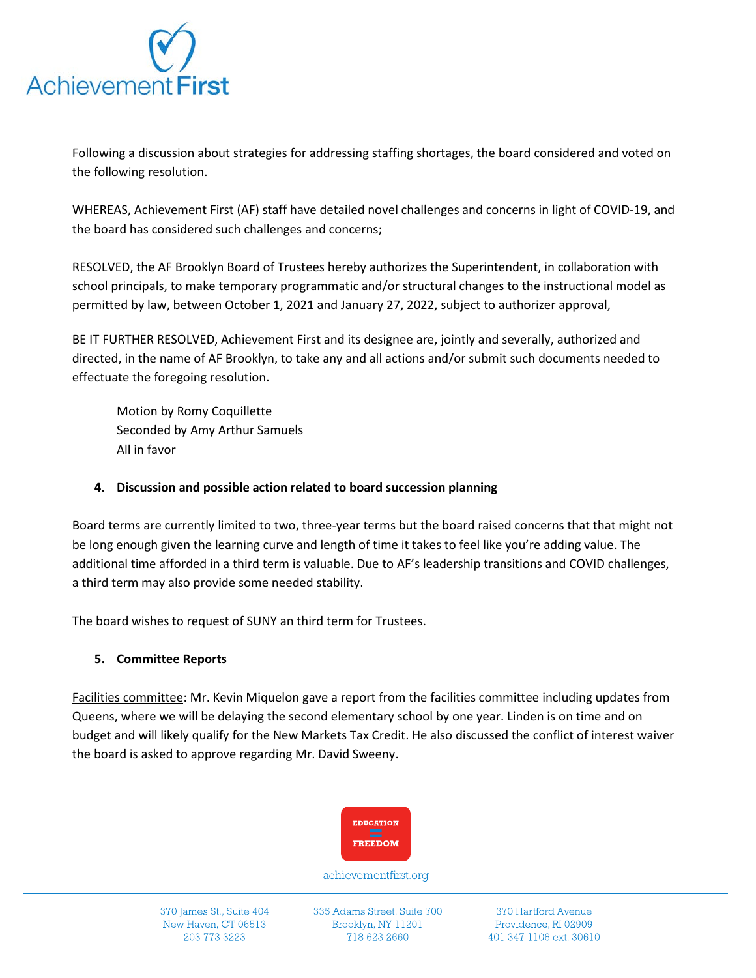

Following a discussion about strategies for addressing staffing shortages, the board considered and voted on the following resolution.

WHEREAS, Achievement First (AF) staff have detailed novel challenges and concerns in light of COVID-19, and the board has considered such challenges and concerns;

RESOLVED, the AF Brooklyn Board of Trustees hereby authorizes the Superintendent, in collaboration with school principals, to make temporary programmatic and/or structural changes to the instructional model as permitted by law, between October 1, 2021 and January 27, 2022, subject to authorizer approval,

BE IT FURTHER RESOLVED, Achievement First and its designee are, jointly and severally, authorized and directed, in the name of AF Brooklyn, to take any and all actions and/or submit such documents needed to effectuate the foregoing resolution.

Motion by Romy Coquillette Seconded by Amy Arthur Samuels All in favor

### **4. Discussion and possible action related to board succession planning**

Board terms are currently limited to two, three-year terms but the board raised concerns that that might not be long enough given the learning curve and length of time it takes to feel like you're adding value. The additional time afforded in a third term is valuable. Due to AF's leadership transitions and COVID challenges, a third term may also provide some needed stability.

The board wishes to request of SUNY an third term for Trustees.

# **5. Committee Reports**

Facilities committee: Mr. Kevin Miquelon gave a report from the facilities committee including updates from Queens, where we will be delaying the second elementary school by one year. Linden is on time and on budget and will likely qualify for the New Markets Tax Credit. He also discussed the conflict of interest waiver the board is asked to approve regarding Mr. David Sweeny.



achievementfirst.org

370 James St., Suite 404 New Haven, CT 06513 203 773 3223

335 Adams Street, Suite 700 Brooklyn, NY 11201 718 623 2660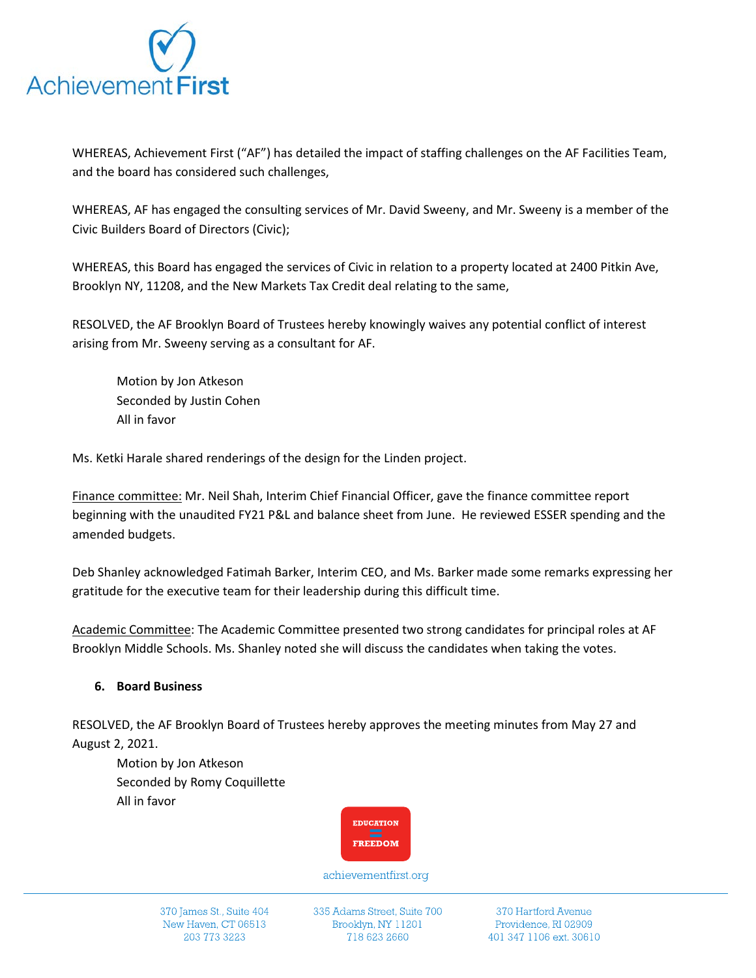

WHEREAS, Achievement First ("AF") has detailed the impact of staffing challenges on the AF Facilities Team, and the board has considered such challenges,

WHEREAS, AF has engaged the consulting services of Mr. David Sweeny, and Mr. Sweeny is a member of the Civic Builders Board of Directors (Civic);

WHEREAS, this Board has engaged the services of Civic in relation to a property located at 2400 Pitkin Ave, Brooklyn NY, 11208, and the New Markets Tax Credit deal relating to the same,

RESOLVED, the AF Brooklyn Board of Trustees hereby knowingly waives any potential conflict of interest arising from Mr. Sweeny serving as a consultant for AF.

Motion by Jon Atkeson Seconded by Justin Cohen All in favor

Ms. Ketki Harale shared renderings of the design for the Linden project.

Finance committee: Mr. Neil Shah, Interim Chief Financial Officer, gave the finance committee report beginning with the unaudited FY21 P&L and balance sheet from June. He reviewed ESSER spending and the amended budgets.

Deb Shanley acknowledged Fatimah Barker, Interim CEO, and Ms. Barker made some remarks expressing her gratitude for the executive team for their leadership during this difficult time.

Academic Committee: The Academic Committee presented two strong candidates for principal roles at AF Brooklyn Middle Schools. Ms. Shanley noted she will discuss the candidates when taking the votes.

# **6. Board Business**

RESOLVED, the AF Brooklyn Board of Trustees hereby approves the meeting minutes from May 27 and August 2, 2021.

Motion by Jon Atkeson Seconded by Romy Coquillette All in favor



achievementfirst.org

370 James St., Suite 404 New Haven, CT 06513 203 773 3223

335 Adams Street, Suite 700 Brooklyn, NY 11201 718 623 2660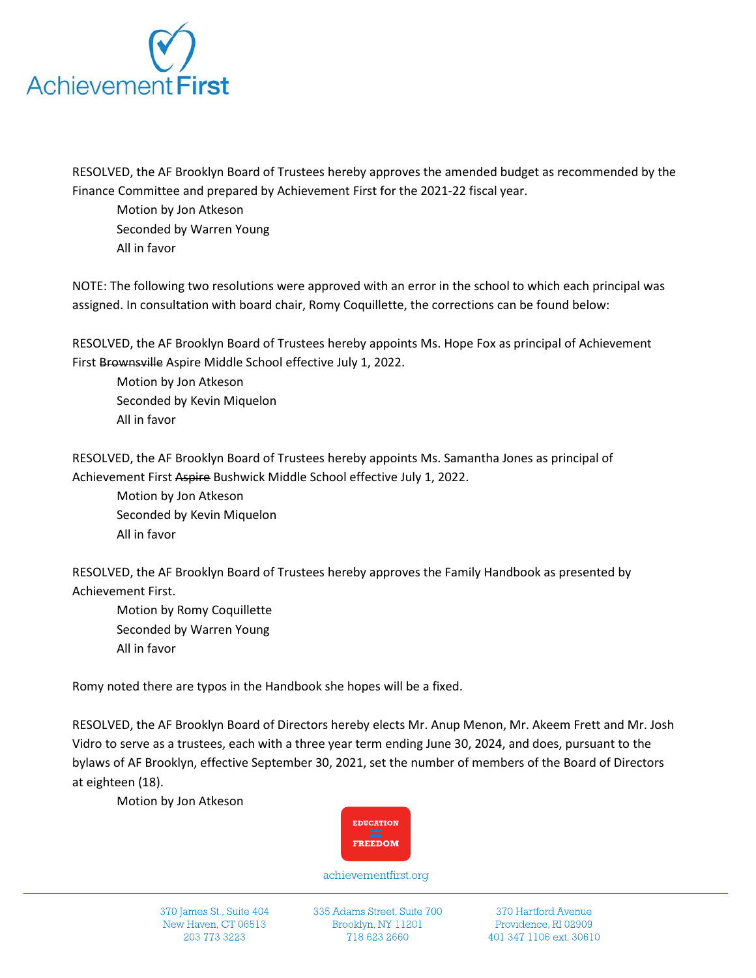

RESOLVED, the AF Brooklyn Board of Trustees hereby approves the amended budget as recommended by the Finance Committee and prepared by Achievement First for the 2021-22 fiscal year.

Motion by Jon Atkeson Seconded by Warren Young All in favor

NOTE: The following two resolutions were approved with an error in the school to which each principal was assigned. In consultation with board chair, Romy Coquillette, the corrections can be found below:

RESOLVED, the AF Brooklyn Board of Trustees hereby appoints Ms. Hope Fox as principal of Achievement First Brownsville Aspire Middle School effective July 1, 2022.

Motion by Jon Atkeson Seconded by Kevin Miquelon All in favor

RESOLVED, the AF Brooklyn Board of Trustees hereby appoints Ms. Samantha Jones as principal of Achievement First Aspire Bushwick Middle School effective July 1, 2022.

Motion by Jon Atkeson Seconded by Kevin Miquelon All in favor

RESOLVED, the AF Brooklyn Board of Trustees hereby approves the Family Handbook as presented by Achievement First.

Motion by Romy Coquillette Seconded by Warren Young All in favor

Romy noted there are typos in the Handbook she hopes will be a fixed.

RESOLVED, the AF Brooklyn Board of Directors hereby elects Mr. Anup Menon, Mr. Akeem Frett and Mr. Josh Vidro to serve as a trustees, each with a three year term ending June 30, 2024, and does, pursuant to the bylaws of AF Brooklyn, effective September 30, 2021, set the number of members of the Board of Directors at eighteen (18).

Motion by Jon Atkeson



achievementfirst.org

370 James St., Suite 404 New Haven, CT 06513 203 773 3223

335 Adams Street, Suite 700 Brooklyn, NY 11201 718 623 2660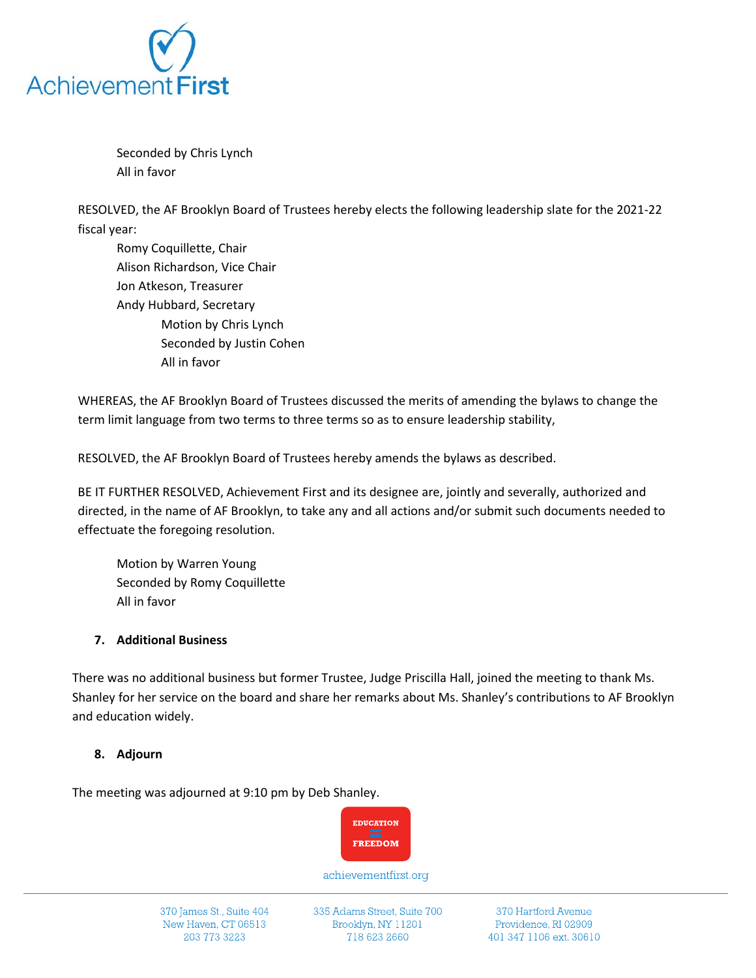

Seconded by Chris Lynch All in favor

RESOLVED, the AF Brooklyn Board of Trustees hereby elects the following leadership slate for the 2021-22 fiscal year:

Romy Coquillette, Chair Alison Richardson, Vice Chair Jon Atkeson, Treasurer Andy Hubbard, Secretary Motion by Chris Lynch Seconded by Justin Cohen All in favor

WHEREAS, the AF Brooklyn Board of Trustees discussed the merits of amending the bylaws to change the term limit language from two terms to three terms so as to ensure leadership stability,

RESOLVED, the AF Brooklyn Board of Trustees hereby amends the bylaws as described.

BE IT FURTHER RESOLVED, Achievement First and its designee are, jointly and severally, authorized and directed, in the name of AF Brooklyn, to take any and all actions and/or submit such documents needed to effectuate the foregoing resolution.

Motion by Warren Young Seconded by Romy Coquillette All in favor

#### **7. Additional Business**

There was no additional business but former Trustee, Judge Priscilla Hall, joined the meeting to thank Ms. Shanley for her service on the board and share her remarks about Ms. Shanley's contributions to AF Brooklyn and education widely.

#### **8. Adjourn**

The meeting was adjourned at 9:10 pm by Deb Shanley.



achievementfirst.org

370 James St., Suite 404 New Haven, CT 06513 203 773 3223

335 Adams Street, Suite 700 Brooklyn, NY 11201 718 623 2660